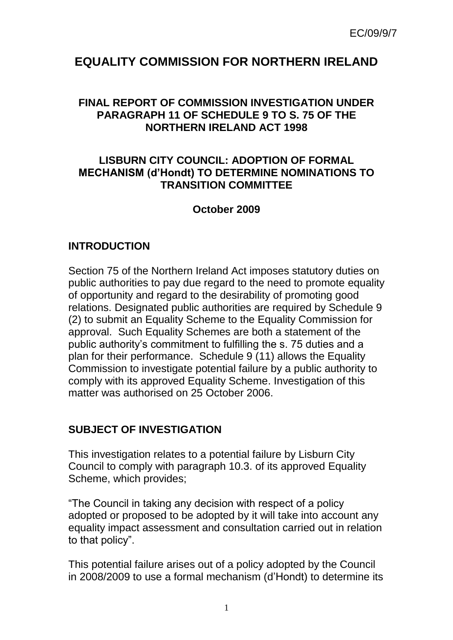# **EQUALITY COMMISSION FOR NORTHERN IRELAND**

#### **FINAL REPORT OF COMMISSION INVESTIGATION UNDER PARAGRAPH 11 OF SCHEDULE 9 TO S. 75 OF THE NORTHERN IRELAND ACT 1998**

#### **LISBURN CITY COUNCIL: ADOPTION OF FORMAL MECHANISM (d'Hondt) TO DETERMINE NOMINATIONS TO TRANSITION COMMITTEE**

#### **October 2009**

#### **INTRODUCTION**

Section 75 of the Northern Ireland Act imposes statutory duties on public authorities to pay due regard to the need to promote equality of opportunity and regard to the desirability of promoting good relations. Designated public authorities are required by Schedule 9 (2) to submit an Equality Scheme to the Equality Commission for approval. Such Equality Schemes are both a statement of the public authority's commitment to fulfilling the s. 75 duties and a plan for their performance. Schedule 9 (11) allows the Equality Commission to investigate potential failure by a public authority to comply with its approved Equality Scheme. Investigation of this matter was authorised on 25 October 2006.

## **SUBJECT OF INVESTIGATION**

This investigation relates to a potential failure by Lisburn City Council to comply with paragraph 10.3. of its approved Equality Scheme, which provides;

"The Council in taking any decision with respect of a policy adopted or proposed to be adopted by it will take into account any equality impact assessment and consultation carried out in relation to that policy".

This potential failure arises out of a policy adopted by the Council in 2008/2009 to use a formal mechanism (d'Hondt) to determine its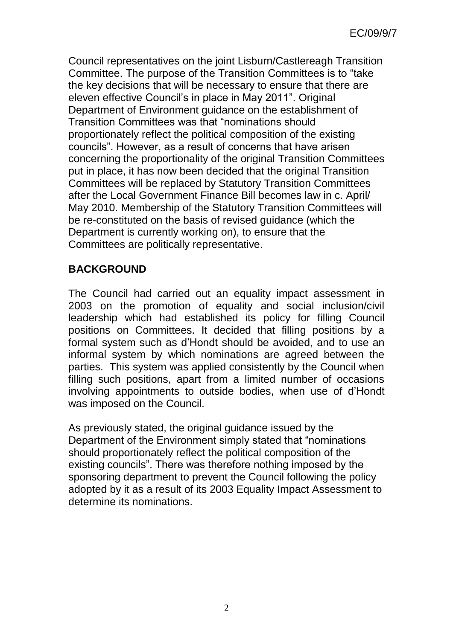Council representatives on the joint Lisburn/Castlereagh Transition Committee. The purpose of the Transition Committees is to "take the key decisions that will be necessary to ensure that there are eleven effective Council's in place in May 2011". Original Department of Environment guidance on the establishment of Transition Committees was that "nominations should proportionately reflect the political composition of the existing councils". However, as a result of concerns that have arisen concerning the proportionality of the original Transition Committees put in place, it has now been decided that the original Transition Committees will be replaced by Statutory Transition Committees after the Local Government Finance Bill becomes law in c. April/ May 2010. Membership of the Statutory Transition Committees will be re-constituted on the basis of revised guidance (which the Department is currently working on), to ensure that the Committees are politically representative.

## **BACKGROUND**

The Council had carried out an equality impact assessment in 2003 on the promotion of equality and social inclusion/civil leadership which had established its policy for filling Council positions on Committees. It decided that filling positions by a formal system such as d'Hondt should be avoided, and to use an informal system by which nominations are agreed between the parties. This system was applied consistently by the Council when filling such positions, apart from a limited number of occasions involving appointments to outside bodies, when use of d'Hondt was imposed on the Council.

As previously stated, the original guidance issued by the Department of the Environment simply stated that "nominations should proportionately reflect the political composition of the existing councils". There was therefore nothing imposed by the sponsoring department to prevent the Council following the policy adopted by it as a result of its 2003 Equality Impact Assessment to determine its nominations.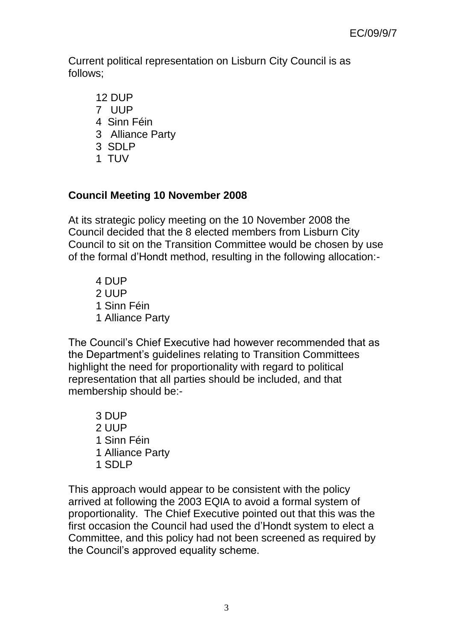Current political representation on Lisburn City Council is as follows;

- 12 DUP
- 7 UUP
- 4 Sinn Féin
- 3 Alliance Party
- 3 SDLP
- 1 TUV

## **Council Meeting 10 November 2008**

At its strategic policy meeting on the 10 November 2008 the Council decided that the 8 elected members from Lisburn City Council to sit on the Transition Committee would be chosen by use of the formal d'Hondt method, resulting in the following allocation:-

4 DUP 2 UUP 1 Sinn Féin 1 Alliance Party

The Council's Chief Executive had however recommended that as the Department's guidelines relating to Transition Committees highlight the need for proportionality with regard to political representation that all parties should be included, and that membership should be:-

3 DUP 2 UUP 1 Sinn Féin 1 Alliance Party 1 SDLP

This approach would appear to be consistent with the policy arrived at following the 2003 EQIA to avoid a formal system of proportionality. The Chief Executive pointed out that this was the first occasion the Council had used the d'Hondt system to elect a Committee, and this policy had not been screened as required by the Council's approved equality scheme.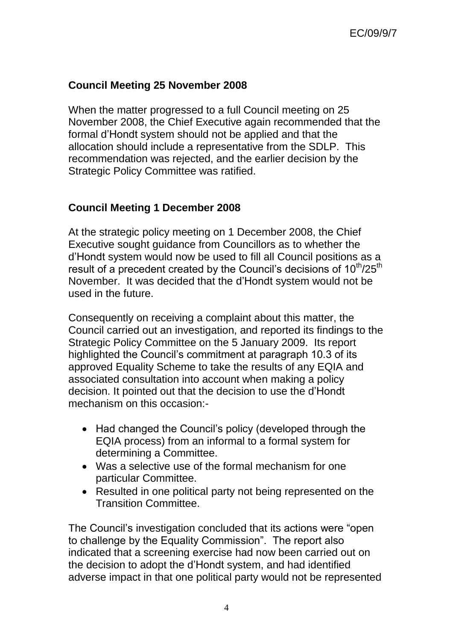## **Council Meeting 25 November 2008**

When the matter progressed to a full Council meeting on 25 November 2008, the Chief Executive again recommended that the formal d'Hondt system should not be applied and that the allocation should include a representative from the SDLP. This recommendation was rejected, and the earlier decision by the Strategic Policy Committee was ratified.

### **Council Meeting 1 December 2008**

At the strategic policy meeting on 1 December 2008, the Chief Executive sought guidance from Councillors as to whether the d'Hondt system would now be used to fill all Council positions as a result of a precedent created by the Council's decisions of 10<sup>th</sup>/25<sup>th</sup> November. It was decided that the d'Hondt system would not be used in the future.

Consequently on receiving a complaint about this matter, the Council carried out an investigation, and reported its findings to the Strategic Policy Committee on the 5 January 2009. Its report highlighted the Council's commitment at paragraph 10.3 of its approved Equality Scheme to take the results of any EQIA and associated consultation into account when making a policy decision. It pointed out that the decision to use the d'Hondt mechanism on this occasion:-

- Had changed the Council's policy (developed through the EQIA process) from an informal to a formal system for determining a Committee.
- Was a selective use of the formal mechanism for one particular Committee.
- Resulted in one political party not being represented on the Transition Committee.

The Council's investigation concluded that its actions were "open to challenge by the Equality Commission". The report also indicated that a screening exercise had now been carried out on the decision to adopt the d'Hondt system, and had identified adverse impact in that one political party would not be represented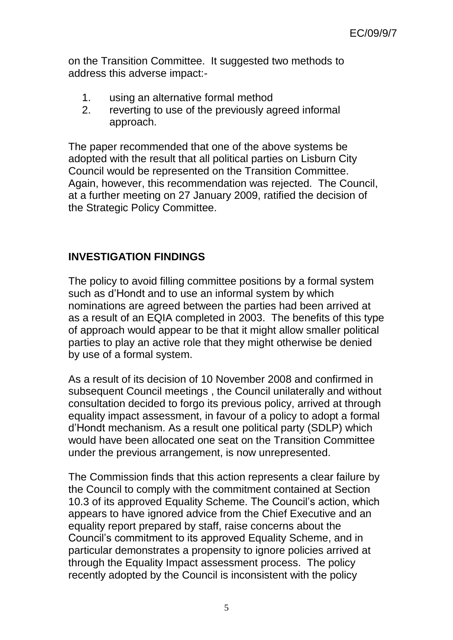on the Transition Committee. It suggested two methods to address this adverse impact:-

- 1. using an alternative formal method
- 2. reverting to use of the previously agreed informal approach.

The paper recommended that one of the above systems be adopted with the result that all political parties on Lisburn City Council would be represented on the Transition Committee. Again, however, this recommendation was rejected. The Council, at a further meeting on 27 January 2009, ratified the decision of the Strategic Policy Committee.

### **INVESTIGATION FINDINGS**

The policy to avoid filling committee positions by a formal system such as d'Hondt and to use an informal system by which nominations are agreed between the parties had been arrived at as a result of an EQIA completed in 2003. The benefits of this type of approach would appear to be that it might allow smaller political parties to play an active role that they might otherwise be denied by use of a formal system.

As a result of its decision of 10 November 2008 and confirmed in subsequent Council meetings , the Council unilaterally and without consultation decided to forgo its previous policy, arrived at through equality impact assessment, in favour of a policy to adopt a formal d'Hondt mechanism. As a result one political party (SDLP) which would have been allocated one seat on the Transition Committee under the previous arrangement, is now unrepresented.

The Commission finds that this action represents a clear failure by the Council to comply with the commitment contained at Section 10.3 of its approved Equality Scheme. The Council's action, which appears to have ignored advice from the Chief Executive and an equality report prepared by staff, raise concerns about the Council's commitment to its approved Equality Scheme, and in particular demonstrates a propensity to ignore policies arrived at through the Equality Impact assessment process. The policy recently adopted by the Council is inconsistent with the policy